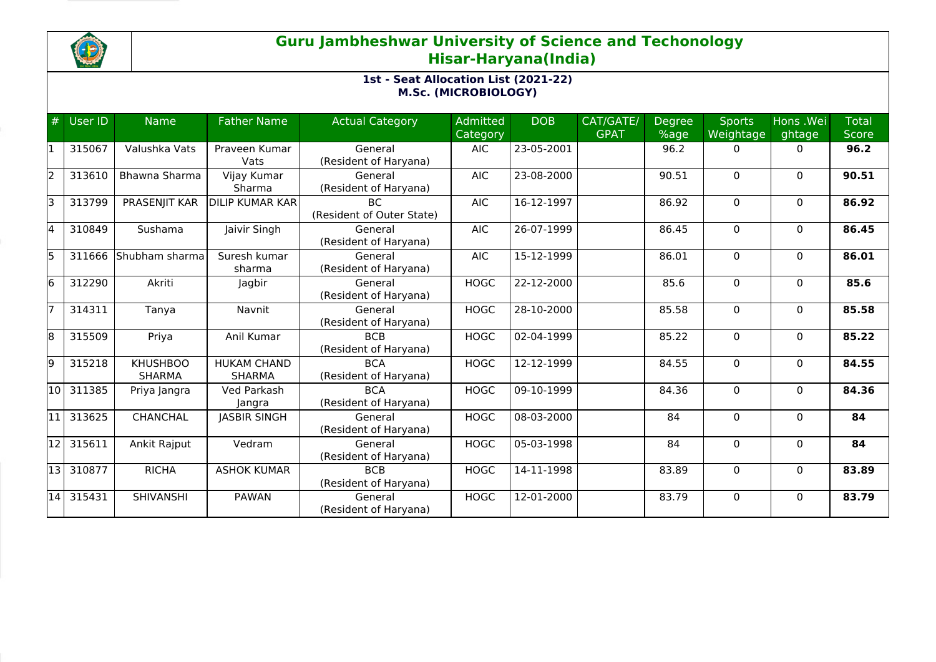

## **Guru Jambheshwar University of Science and Techonology Hisar-Haryana(India)**

## **1st - Seat Allocation List (2021-22) M.Sc. (MICROBIOLOGY)**

| #     | User ID   | <b>Name</b>                      | <b>Father Name</b>                  | <b>Actual Category</b>                 | <b>Admitted</b><br>Category | <b>DOB</b>       | CAT/GATE/<br><b>GPAT</b> | <b>Degree</b><br>%age | <b>Sports</b><br>Weightage | Hons .Wei<br>ghtage | <b>Total</b><br><b>Score</b> |
|-------|-----------|----------------------------------|-------------------------------------|----------------------------------------|-----------------------------|------------------|--------------------------|-----------------------|----------------------------|---------------------|------------------------------|
|       | 315067    | Valushka Vats                    | Praveen Kumar<br>Vats               | General<br>(Resident of Haryana)       | <b>AIC</b>                  | 23-05-2001       |                          | 96.2                  | $\Omega$                   | $\Omega$            | 96.2                         |
| İ2    | 313610    | Bhawna Sharma                    | Vijay Kumar<br>Sharma               | General<br>(Resident of Haryana)       | <b>AIC</b>                  | 23-08-2000       |                          | 90.51                 | $\Omega$                   | $\Omega$            | 90.51                        |
| lз    | 313799    | PRASENJIT KAR                    | <b>DILIP KUMAR KAR</b>              | <b>BC</b><br>(Resident of Outer State) | <b>AIC</b>                  | 16-12-1997       |                          | 86.92                 | $\mathbf 0$                | $\Omega$            | 86.92                        |
| 14    | 310849    | Sushama                          | Jaivir Singh                        | General<br>(Resident of Haryana)       | <b>AIC</b>                  | 26-07-1999       |                          | 86.45                 | $\Omega$                   | $\mathbf{0}$        | 86.45                        |
| l5    | 311666    | Shubham sharma                   | Suresh kumar<br>sharma              | General<br>(Resident of Haryana)       | <b>AIC</b>                  | 15-12-1999       |                          | 86.01                 | $\Omega$                   | $\mathbf{0}$        | 86.01                        |
| l6    | 312290    | Akriti                           | Jagbir                              | General<br>(Resident of Haryana)       | <b>HOGC</b>                 | 22-12-2000       |                          | 85.6                  | $\mathbf{0}$               | $\Omega$            | 85.6                         |
|       | 314311    | Tanya                            | Navnit                              | General<br>(Resident of Haryana)       | <b>HOGC</b>                 | 28-10-2000       |                          | 85.58                 | $\Omega$                   | $\mathbf{0}$        | 85.58                        |
| 8     | 315509    | Priya                            | Anil Kumar                          | <b>BCB</b><br>(Resident of Haryana)    | <b>HOGC</b>                 | 02-04-1999       |                          | 85.22                 | $\Omega$                   | $\mathbf{0}$        | 85.22                        |
| l9    | 315218    | <b>KHUSHBOO</b><br><b>SHARMA</b> | <b>HUKAM CHAND</b><br><b>SHARMA</b> | <b>BCA</b><br>(Resident of Haryana)    | <b>HOGC</b>                 | 12-12-1999       |                          | 84.55                 | 0                          | $\mathbf{0}$        | 84.55                        |
| l10 l | 311385    | Priya Jangra                     | Ved Parkash<br>Jangra               | <b>BCA</b><br>(Resident of Haryana)    | <b>HOGC</b>                 | 09-10-1999       |                          | 84.36                 | $\Omega$                   | $\Omega$            | 84.36                        |
|       | 313625    | <b>CHANCHAL</b>                  | <b>JASBIR SINGH</b>                 | General<br>(Resident of Haryana)       | <b>HOGC</b>                 | 08-03-2000       |                          | 84                    | $\mathbf 0$                | $\mathbf{0}$        | 84                           |
| 12    | 315611    | Ankit Rajput                     | Vedram                              | General<br>(Resident of Haryana)       | <b>HOGC</b>                 | 05-03-1998       |                          | 84                    | $\Omega$                   | $\Omega$            | 84                           |
|       | 13 310877 | <b>RICHA</b>                     | <b>ASHOK KUMAR</b>                  | <b>BCB</b><br>(Resident of Haryana)    | <b>HOGC</b>                 | 14-11-1998       |                          | 83.89                 | 0                          | $\mathbf{0}$        | 83.89                        |
|       | 14 315431 | SHIVANSHI                        | <b>PAWAN</b>                        | General<br>(Resident of Haryana)       | <b>HOGC</b>                 | $12 - 01 - 2000$ |                          | 83.79                 | $\Omega$                   | $\Omega$            | 83.79                        |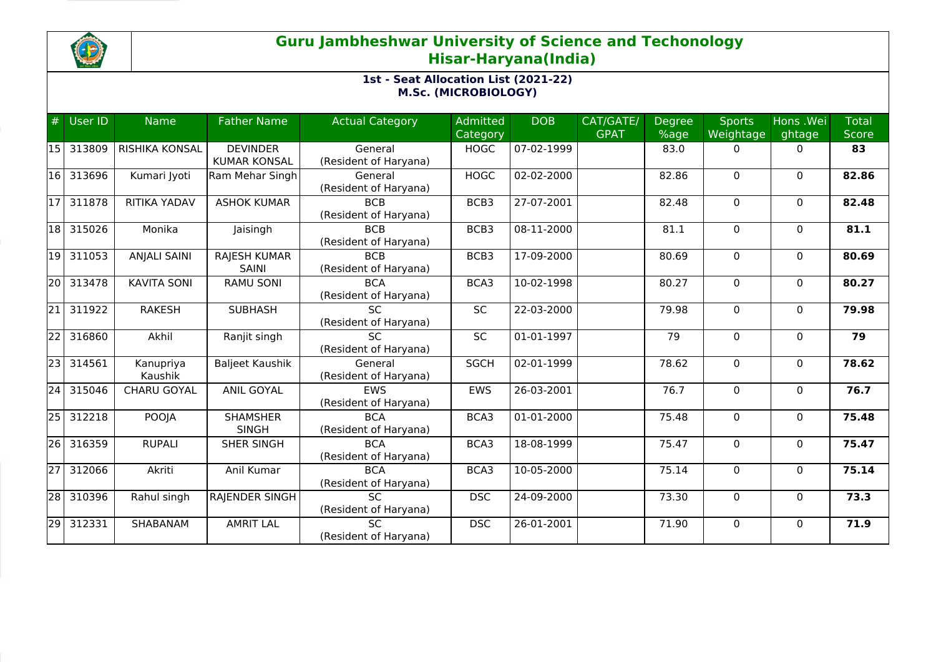

## **Guru Jambheshwar University of Science and Techonology Hisar-Haryana(India)**

## **1st - Seat Allocation List (2021-22) M.Sc. (MICROBIOLOGY)**

| #               | User ID | <b>Name</b>           | <b>Father Name</b>                     | <b>Actual Category</b>                   | <b>Admitted</b><br>Category | <b>DOB</b> | CAT/GATE/<br><b>GPAT</b> | Degree<br>%age | <b>Sports</b><br><b>Weightage</b> | Hons .Wei<br>ghtage | <b>Total</b><br><b>Score</b> |
|-----------------|---------|-----------------------|----------------------------------------|------------------------------------------|-----------------------------|------------|--------------------------|----------------|-----------------------------------|---------------------|------------------------------|
| <b>15</b>       | 313809  | <b>RISHIKA KONSAL</b> | <b>DEVINDER</b><br><b>KUMAR KONSAL</b> | General<br>(Resident of Haryana)         | <b>HOGC</b>                 | 07-02-1999 |                          | 83.0           | $\mathbf{0}$                      | $\Omega$            | 83                           |
| 16              | 313696  | Kumari Jyoti          | Ram Mehar Singh                        | General<br>(Resident of Haryana)         | <b>HOGC</b>                 | 02-02-2000 |                          | 82.86          | $\Omega$                          | $\mathbf{0}$        | 82.86                        |
| $\overline{17}$ | 311878  | <b>RITIKA YADAV</b>   | <b>ASHOK KUMAR</b>                     | <b>BCB</b><br>(Resident of Haryana)      | BCB3                        | 27-07-2001 |                          | 82.48          | $\mathbf 0$                       | $\Omega$            | 82,48                        |
| 18              | 315026  | Monika                | Jaisingh                               | <b>BCB</b><br>(Resident of Haryana)      | BCB3                        | 08-11-2000 |                          | 81.1           | 0                                 | 0                   | 81.1                         |
| 19              | 311053  | <b>ANJALI SAINI</b>   | <b>RAJESH KUMAR</b><br>SAINI           | <b>BCB</b><br>(Resident of Haryana)      | BCB3                        | 17-09-2000 |                          | 80.69          | $\mathbf 0$                       | $\mathbf 0$         | 80.69                        |
| 20              | 313478  | <b>KAVITA SONI</b>    | <b>RAMU SONI</b>                       | <b>BCA</b><br>(Resident of Haryana)      | BCA3                        | 10-02-1998 |                          | 80.27          | 0                                 | $\mathbf{0}$        | 80.27                        |
| 21              | 311922  | <b>RAKESH</b>         | <b>SUBHASH</b>                         | <b>SC</b><br>(Resident of Haryana)       | <b>SC</b>                   | 22-03-2000 |                          | 79.98          | $\Omega$                          | $\mathbf{0}$        | 79.98                        |
| $\overline{22}$ | 316860  | Akhil                 | Ranjit singh                           | $\overline{SC}$<br>(Resident of Haryana) | SC                          | 01-01-1997 |                          | 79             | $\mathbf 0$                       | $\Omega$            | 79                           |
| $\overline{23}$ | 314561  | Kanupriya<br>Kaushik  | <b>Baljeet Kaushik</b>                 | General<br>(Resident of Haryana)         | <b>SGCH</b>                 | 02-01-1999 |                          | 78.62          | $\mathbf 0$                       | $\mathbf{0}$        | 78.62                        |
| 24              | 315046  | CHARU GOYAL           | <b>ANIL GOYAL</b>                      | <b>EWS</b><br>(Resident of Haryana)      | <b>EWS</b>                  | 26-03-2001 |                          | 76.7           | $\mathbf 0$                       | $\mathbf{0}$        | 76.7                         |
| 25              | 312218  | <b>POOJA</b>          | <b>SHAMSHER</b><br><b>SINGH</b>        | <b>BCA</b><br>(Resident of Haryana)      | BCA3                        | 01-01-2000 |                          | 75.48          | $\Omega$                          | $\mathbf{0}$        | 75.48                        |
| $\overline{26}$ | 316359  | <b>RUPALI</b>         | <b>SHER SINGH</b>                      | <b>BCA</b><br>(Resident of Haryana)      | BCA3                        | 18-08-1999 |                          | 75.47          | 0                                 | $\mathbf{0}$        | 75.47                        |
| $\overline{27}$ | 312066  | Akriti                | Anil Kumar                             | <b>BCA</b><br>(Resident of Haryana)      | BCA3                        | 10-05-2000 |                          | 75.14          | $\mathbf 0$                       | $\mathbf 0$         | 75.14                        |
| $\overline{28}$ | 310396  | Rahul singh           | <b>RAJENDER SINGH</b>                  | <b>SC</b><br>(Resident of Haryana)       | <b>DSC</b>                  | 24-09-2000 |                          | 73.30          | $\Omega$                          | $\mathbf{0}$        | 73.3                         |
| $\overline{29}$ | 312331  | SHABANAM              | <b>AMRIT LAL</b>                       | <b>SC</b><br>(Resident of Haryana)       | <b>DSC</b>                  | 26-01-2001 |                          | 71.90          | $\Omega$                          | $\Omega$            | 71.9                         |